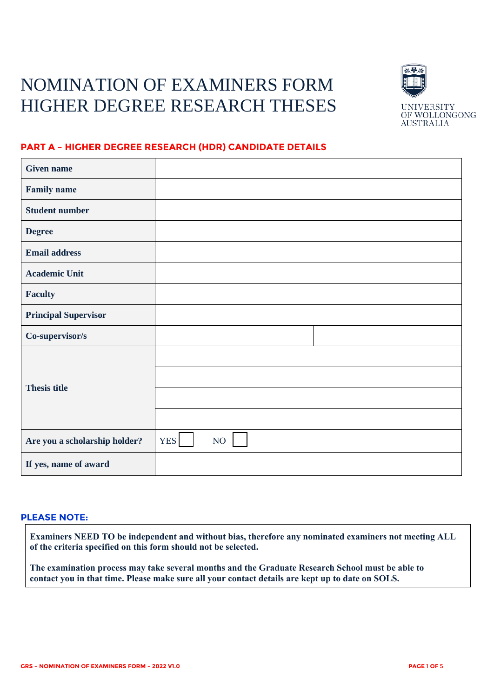# NOMINATION OF EXAMINERS FORM HIGHER DEGREE RESEARCH THESES



## **PART A – HIGHER DEGREE RESEARCH (HDR) CANDIDATE DETAILS**

| <b>Given name</b>             |                              |
|-------------------------------|------------------------------|
| <b>Family name</b>            |                              |
| <b>Student number</b>         |                              |
| <b>Degree</b>                 |                              |
| <b>Email address</b>          |                              |
| <b>Academic Unit</b>          |                              |
| <b>Faculty</b>                |                              |
| <b>Principal Supervisor</b>   |                              |
| Co-supervisor/s               |                              |
|                               |                              |
| <b>Thesis title</b>           |                              |
|                               |                              |
|                               |                              |
| Are you a scholarship holder? | YES <sup> </sup><br>$\rm NO$ |
| If yes, name of award         |                              |

#### **PLEASE NOTE:**

**Examiners NEED TO be independent and without bias, therefore any nominated examiners not meeting ALL of the criteria specified on this form should not be selected.**

**The examination process may take several months and the Graduate Research School must be able to contact you in that time. Please make sure all your contact details are kept up to date on SOLS.**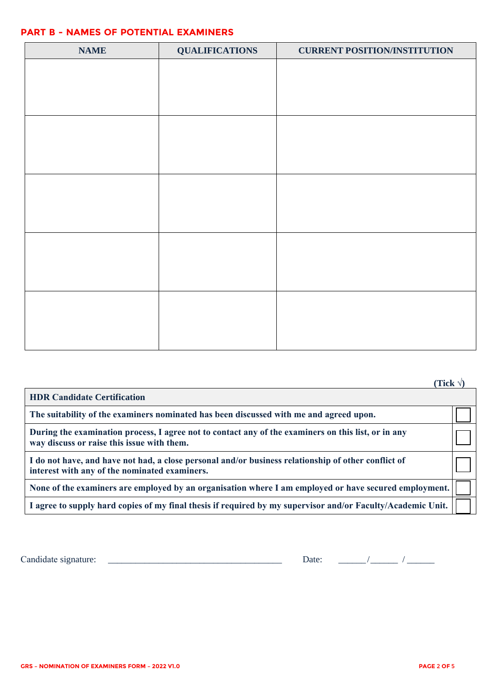#### **PART B - NAMES OF POTENTIAL EXAMINERS**

| <b>NAME</b> | <b>QUALIFICATIONS</b> | <b>CURRENT POSITION/INSTITUTION</b> |
|-------------|-----------------------|-------------------------------------|
|             |                       |                                     |
|             |                       |                                     |
|             |                       |                                     |
|             |                       |                                     |
|             |                       |                                     |
|             |                       |                                     |
|             |                       |                                     |
|             |                       |                                     |
|             |                       |                                     |
|             |                       |                                     |
|             |                       |                                     |
|             |                       |                                     |
|             |                       |                                     |
|             |                       |                                     |
|             |                       |                                     |

|                                                                                                                                                      | (Tick $\forall$ ) |
|------------------------------------------------------------------------------------------------------------------------------------------------------|-------------------|
| <b>HDR Candidate Certification</b>                                                                                                                   |                   |
| The suitability of the examiners nominated has been discussed with me and agreed upon.                                                               |                   |
| During the examination process, I agree not to contact any of the examiners on this list, or in any<br>way discuss or raise this issue with them.    |                   |
| I do not have, and have not had, a close personal and/or business relationship of other conflict of<br>interest with any of the nominated examiners. |                   |
| None of the examiners are employed by an organisation where I am employed or have secured employment.                                                |                   |
| I agree to supply hard copies of my final thesis if required by my supervisor and/or Faculty/Academic Unit.                                          |                   |

Candidate signature: \_\_\_\_\_\_\_\_\_\_\_\_\_\_\_\_\_\_\_\_\_\_\_\_\_\_\_\_\_\_\_\_\_\_\_\_\_\_ Date: \_\_\_\_\_\_ / \_\_\_\_\_\_ / \_\_\_\_\_\_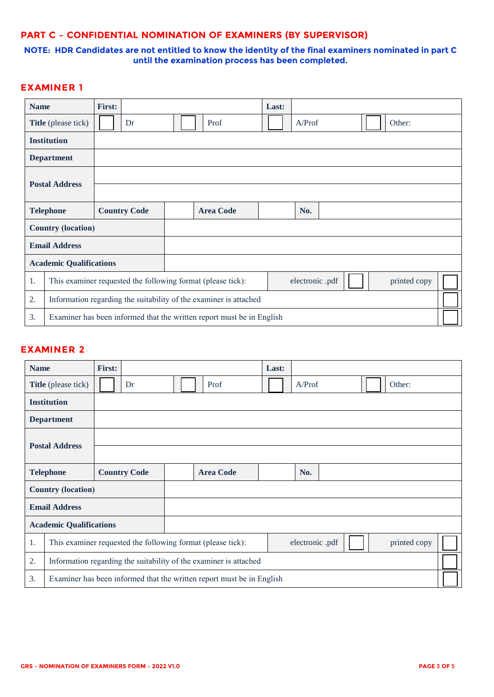#### **PART C – CONFIDENTIAL NOMINATION OF EXAMINERS (BY SUPERVISOR)**

#### **NOTE: HDR Candidates are not entitled to know the identity of the final examiners nominated in part C until the examination process has been completed.**

## **EXAMINER 1**

| <b>Name</b>                                                                 |                                                                   | <b>First:</b> |                     |  |                  | Last: |                 |  |              |  |
|-----------------------------------------------------------------------------|-------------------------------------------------------------------|---------------|---------------------|--|------------------|-------|-----------------|--|--------------|--|
|                                                                             | <b>Title</b> (please tick)                                        |               | Dr                  |  | Prof             |       | A/Prof          |  | Other:       |  |
|                                                                             | <b>Institution</b>                                                |               |                     |  |                  |       |                 |  |              |  |
|                                                                             | <b>Department</b>                                                 |               |                     |  |                  |       |                 |  |              |  |
|                                                                             |                                                                   |               |                     |  |                  |       |                 |  |              |  |
| <b>Postal Address</b>                                                       |                                                                   |               |                     |  |                  |       |                 |  |              |  |
|                                                                             | <b>Telephone</b>                                                  |               | <b>Country Code</b> |  | <b>Area Code</b> |       | No.             |  |              |  |
|                                                                             | <b>Country (location)</b>                                         |               |                     |  |                  |       |                 |  |              |  |
|                                                                             | <b>Email Address</b>                                              |               |                     |  |                  |       |                 |  |              |  |
|                                                                             | <b>Academic Qualifications</b>                                    |               |                     |  |                  |       |                 |  |              |  |
| 1.                                                                          | This examiner requested the following format (please tick):       |               |                     |  |                  |       | electronic .pdf |  | printed copy |  |
| 2.                                                                          | Information regarding the suitability of the examiner is attached |               |                     |  |                  |       |                 |  |              |  |
| 3.<br>Examiner has been informed that the written report must be in English |                                                                   |               |                     |  |                  |       |                 |  |              |  |

### **EXAMINER 2**

| <b>Name</b>                                                             |                                | <b>First:</b> |                     |  |                                                                       | Last: |              |  |        |  |
|-------------------------------------------------------------------------|--------------------------------|---------------|---------------------|--|-----------------------------------------------------------------------|-------|--------------|--|--------|--|
|                                                                         | Title (please tick)            |               | Dr                  |  | Prof                                                                  |       | A/Prof       |  | Other: |  |
|                                                                         | <b>Institution</b>             |               |                     |  |                                                                       |       |              |  |        |  |
|                                                                         | <b>Department</b>              |               |                     |  |                                                                       |       |              |  |        |  |
|                                                                         |                                |               |                     |  |                                                                       |       |              |  |        |  |
| <b>Postal Address</b>                                                   |                                |               |                     |  |                                                                       |       |              |  |        |  |
|                                                                         | <b>Telephone</b>               |               | <b>Country Code</b> |  | <b>Area Code</b>                                                      |       | No.          |  |        |  |
|                                                                         | <b>Country (location)</b>      |               |                     |  |                                                                       |       |              |  |        |  |
|                                                                         | <b>Email Address</b>           |               |                     |  |                                                                       |       |              |  |        |  |
|                                                                         | <b>Academic Qualifications</b> |               |                     |  |                                                                       |       |              |  |        |  |
| This examiner requested the following format (please tick):<br>1.       |                                |               |                     |  | electronic .pdf                                                       |       | printed copy |  |        |  |
| 2.<br>Information regarding the suitability of the examiner is attached |                                |               |                     |  |                                                                       |       |              |  |        |  |
| 3.                                                                      |                                |               |                     |  | Examiner has been informed that the written report must be in English |       |              |  |        |  |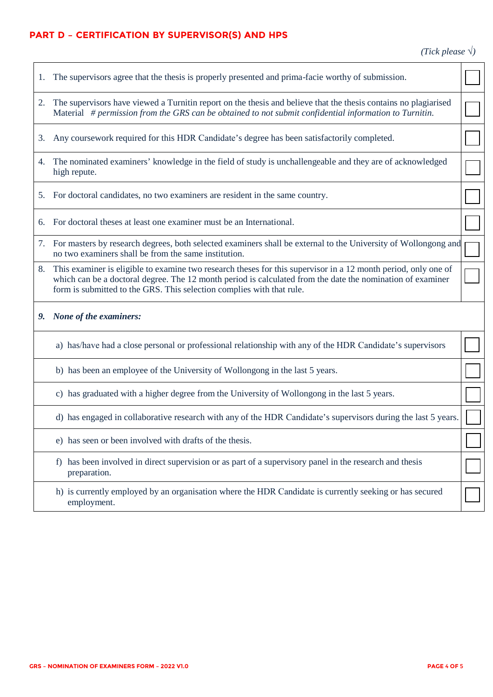## **PART D – CERTIFICATION BY SUPERVISOR(S) AND HPS**

*(Tick please* √*)*

| 1. | The supervisors agree that the thesis is properly presented and prima-facie worthy of submission.                                                                                                                                                                                                     |  |
|----|-------------------------------------------------------------------------------------------------------------------------------------------------------------------------------------------------------------------------------------------------------------------------------------------------------|--|
| 2. | The supervisors have viewed a Turnitin report on the thesis and believe that the thesis contains no plagiarised<br>Material # permission from the GRS can be obtained to not submit confidential information to Turnitin.                                                                             |  |
| 3. | Any coursework required for this HDR Candidate's degree has been satisfactorily completed.                                                                                                                                                                                                            |  |
| 4. | The nominated examiners' knowledge in the field of study is unchallengeable and they are of acknowledged<br>high repute.                                                                                                                                                                              |  |
| 5. | For doctoral candidates, no two examiners are resident in the same country.                                                                                                                                                                                                                           |  |
| 6. | For doctoral theses at least one examiner must be an International.                                                                                                                                                                                                                                   |  |
| 7. | For masters by research degrees, both selected examiners shall be external to the University of Wollongong and<br>no two examiners shall be from the same institution.                                                                                                                                |  |
| 8. | This examiner is eligible to examine two research theses for this supervisor in a 12 month period, only one of<br>which can be a doctoral degree. The 12 month period is calculated from the date the nomination of examiner<br>form is submitted to the GRS. This selection complies with that rule. |  |
|    | 9. None of the examiners:                                                                                                                                                                                                                                                                             |  |
|    | a) has/have had a close personal or professional relationship with any of the HDR Candidate's supervisors                                                                                                                                                                                             |  |
|    | b) has been an employee of the University of Wollongong in the last 5 years.                                                                                                                                                                                                                          |  |
|    |                                                                                                                                                                                                                                                                                                       |  |
|    | c) has graduated with a higher degree from the University of Wollongong in the last 5 years.                                                                                                                                                                                                          |  |
|    | d) has engaged in collaborative research with any of the HDR Candidate's supervisors during the last 5 years.                                                                                                                                                                                         |  |
|    | e) has seen or been involved with drafts of the thesis.                                                                                                                                                                                                                                               |  |
|    | has been involved in direct supervision or as part of a supervisory panel in the research and thesis<br>preparation.                                                                                                                                                                                  |  |